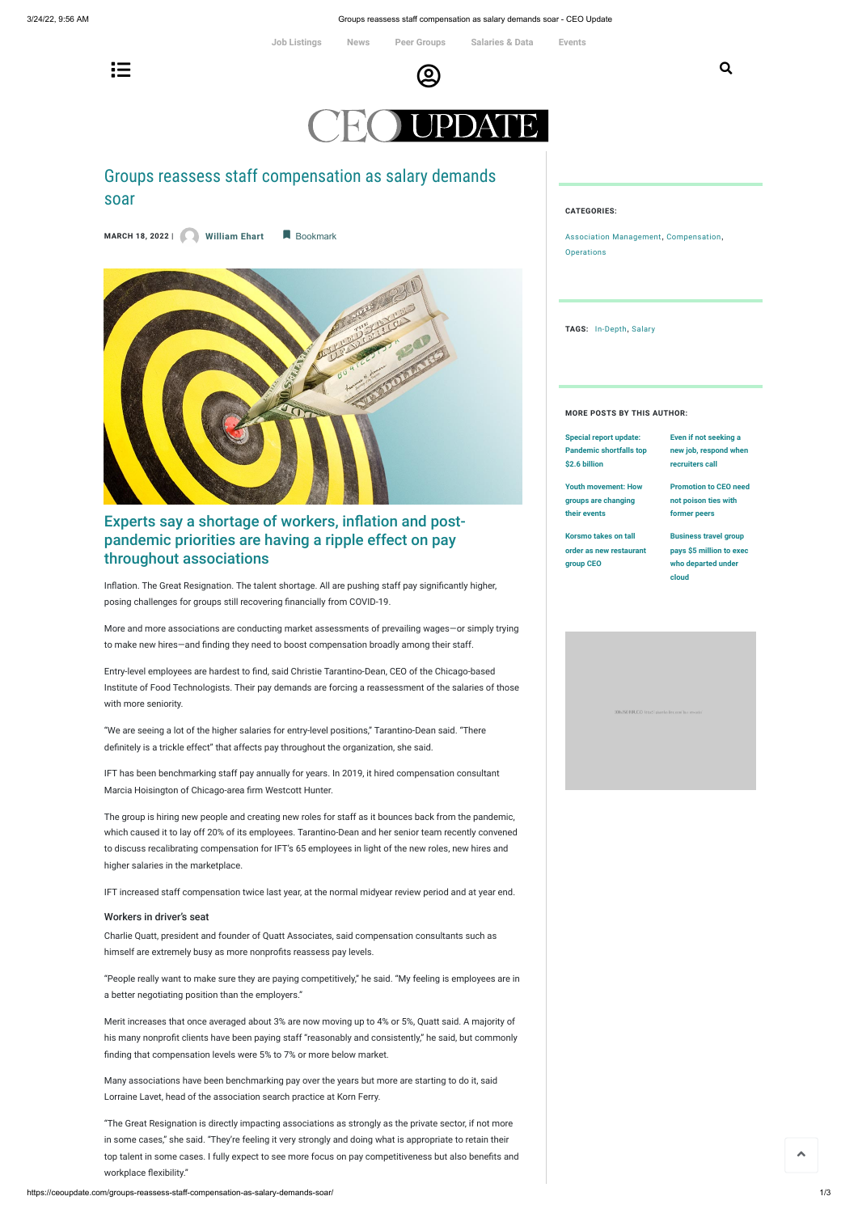3/24/22, 9:56 AM Groups reassess staff compensation as salary demands soar - CEO Update

# Groups reassess staff compensation as salary demands soar

 $\Xi$  . The contract of  $\Theta$ 

**MARCH 18, <sup>2022</sup> <sup>|</sup> [William](https://ceoupdate.com/author/ehart/) Ehart** Bookmark



## Experts say a shortage of workers, inflation and postpandemic priorities are having a ripple effect on pay throughout associations

Inflation. The Great Resignation. The talent shortage. All are pushing staff pay significantly higher, posing challenges for groups still recovering financially from COVID-19.

More and more associations are conducting market assessments of prevailing wages—or simply trying to make new hires—and finding they need to boost compensation broadly among their staff.

Entry-level employees are hardest to find, said Christie Tarantino-Dean, CEO of the Chicago-based Institute of Food Technologists. Their pay demands are forcing a reassessment of the salaries of those with more seniority.

"We are seeing a lot of the higher salaries for entry-level positions," Tarantino-Dean said. "There definitely is a trickle effect" that affects pay throughout the organization, she said.

IFT has been benchmarking staff pay annually for years. In 2019, it hired compensation consultant Marcia Hoisington of Chicago-area firm Westcott Hunter.

Association [Management](https://ceoupdate.com/category/association-management/), [Compensation](https://ceoupdate.com/category/careers/compensation/), **[Operations](https://ceoupdate.com/category/association-management/operations/)** 

The group is hiring new people and creating new roles for staff as it bounces back from the pandemic, which caused it to lay off 20% of its employees. Tarantino-Dean and her senior team recently convened to discuss recalibrating compensation for IFT's 65 employees in light of the new roles, new hires and higher salaries in the marketplace.

IFT increased staff compensation twice last year, at the normal midyear review period and at year end.

#### Workers in driver's seat

Charlie Quatt, president and founder of Quatt Associates, said compensation consultants such as himself are extremely busy as more nonprofits reassess pay levels.

"People really want to make sure they are paying competitively," he said. "My feeling is employees are in a better negotiating position than the employers."

Merit increases that once averaged about 3% are now moving up to 4% or 5%, Quatt said. A majority of his many nonprofit clients have been paying staff "reasonably and consistently," he said, but commonly finding that compensation levels were 5% to 7% or more below market.

Many associations have been benchmarking pay over the years but more are starting to do it, said Lorraine Lavet, head of the association search practice at Korn Ferry.

"The Great Resignation is directly impacting associations as strongly as the private sector, if not more in some cases," she said. "They're feeling it very strongly and doing what is appropriate to retain their top talent in some cases. I fully expect to see more focus on pay competitiveness but also benefits and workplace flexibility."

#### **CATEGORIES:**

**TAGS:** [In-Depth](https://ceoupdate.com/tag/in-depth/), [Salary](https://ceoupdate.com/tag/salary/)

### **MORE POSTS BY THIS AUTHOR:**

| Special report update:         | Even if not seeking a        |
|--------------------------------|------------------------------|
| <b>Pandemic shortfalls top</b> | new job, respond when        |
| \$2.6 billion                  | recruiters call              |
| <b>Youth movement: How</b>     | <b>Promotion to CEO need</b> |
| groups are changing            | not poison ties with         |
| their events                   | former peers                 |
| Korsmo takes on tall           | <b>Business travel group</b> |
|                                |                              |
| order as new restaurant        | pays \$5 million to exec     |
| group CEO                      | who departed under           |
|                                | cloud                        |

**[Job Listings](https://ceoupdate.com/job-listings/) [News](https://ceoupdate.com/news/) [Peer Groups](https://ceoupdate.com/peer-groups/) [Salaries & Data](https://assnintel.ceoupdate.com/) [Events](https://ceoupdate.com/events/)**

Q

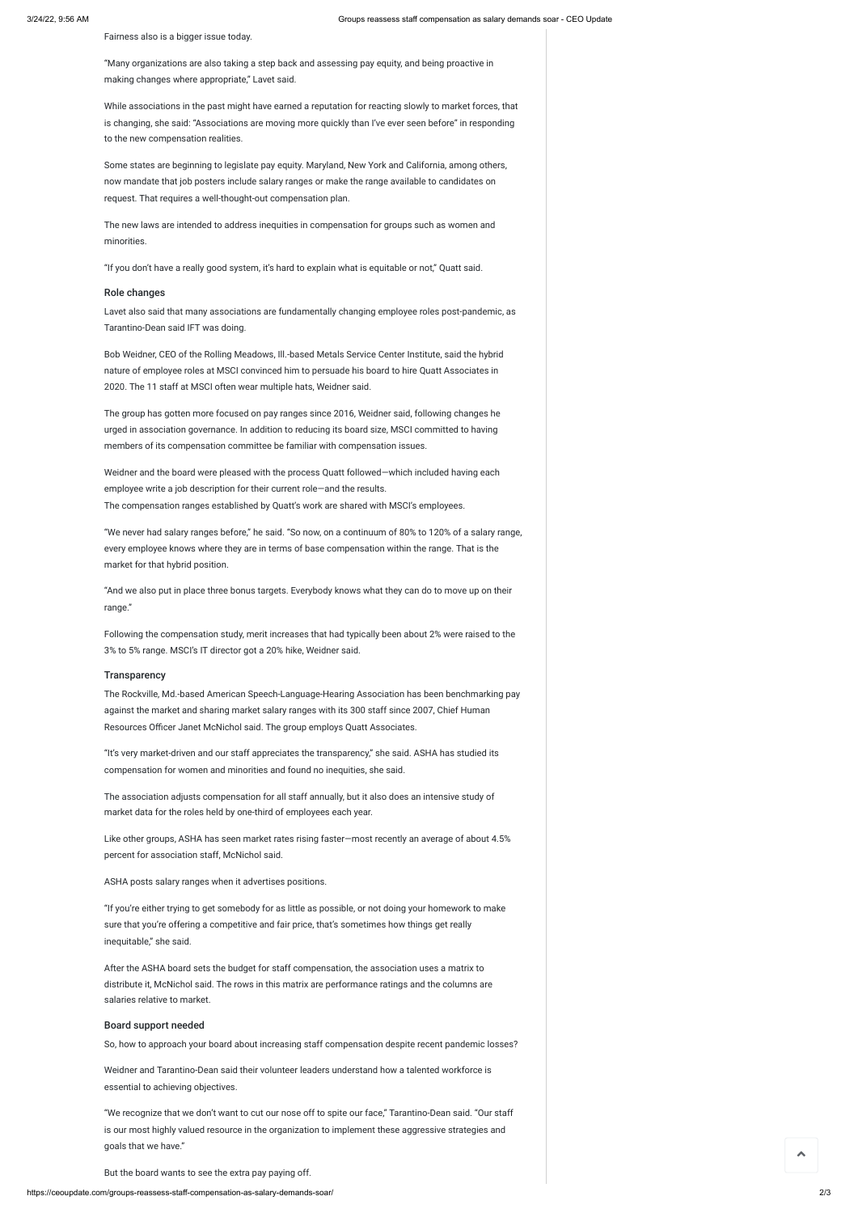Fairness also is a bigger issue today.

"Many organizations are also taking a step back and assessing pay equity, and being proactive in making changes where appropriate," Lavet said.

While associations in the past might have earned a reputation for reacting slowly to market forces, that is changing, she said: "Associations are moving more quickly than I've ever seen before" in responding to the new compensation realities.

Some states are beginning to legislate pay equity. Maryland, New York and California, among others, now mandate that job posters include salary ranges or make the range available to candidates on request. That requires a well-thought-out compensation plan.

The new laws are intended to address inequities in compensation for groups such as women and minorities.

"If you don't have a really good system, it's hard to explain what is equitable or not," Quatt said.

#### Role changes

Lavet also said that many associations are fundamentally changing employee roles post-pandemic, as Tarantino-Dean said IFT was doing.

Bob Weidner, CEO of the Rolling Meadows, Ill.-based Metals Service Center Institute, said the hybrid nature of employee roles at MSCI convinced him to persuade his board to hire Quatt Associates in 2020. The 11 staff at MSCI often wear multiple hats, Weidner said.

The group has gotten more focused on pay ranges since 2016, Weidner said, following changes he urged in association governance. In addition to reducing its board size, MSCI committed to having members of its compensation committee be familiar with compensation issues.

Weidner and the board were pleased with the process Quatt followed—which included having each employee write a job description for their current role—and the results. The compensation ranges established by Quatt's work are shared with MSCI's employees.

"We never had salary ranges before," he said. "So now, on a continuum of 80% to 120% of a salary range, every employee knows where they are in terms of base compensation within the range. That is the market for that hybrid position.

"And we also put in place three bonus targets. Everybody knows what they can do to move up on their range."

Following the compensation study, merit increases that had typically been about 2% were raised to the 3% to 5% range. MSCI's IT director got a 20% hike, Weidner said.

#### **Transparency**

The Rockville, Md.-based American Speech-Language-Hearing Association has been benchmarking pay against the market and sharing market salary ranges with its 300 staff since 2007, Chief Human Resources Officer Janet McNichol said. The group employs Quatt Associates.

"It's very market-driven and our staff appreciates the transparency," she said. ASHA has studied its compensation for women and minorities and found no inequities, she said.

The association adjusts compensation for all staff annually, but it also does an intensive study of market data for the roles held by one-third of employees each year.

Like other groups, ASHA has seen market rates rising faster—most recently an average of about 4.5% percent for association staff, McNichol said.

ASHA posts salary ranges when it advertises positions.

"If you're either trying to get somebody for as little as possible, or not doing your homework to make

sure that you're offering a competitive and fair price, that's sometimes how things get really inequitable," she said.

After the ASHA board sets the budget for staff compensation, the association uses a matrix to distribute it, McNichol said. The rows in this matrix are performance ratings and the columns are salaries relative to market.

## Board support needed

So, how to approach your board about increasing staff compensation despite recent pandemic losses?

Weidner and Tarantino-Dean said their volunteer leaders understand how a talented workforce is essential to achieving objectives.

"We recognize that we don't want to cut our nose off to spite our face," Tarantino-Dean said. "Our staff is our most highly valued resource in the organization to implement these aggressive strategies and goals that we have."

But the board wants to see the extra pay paying off.